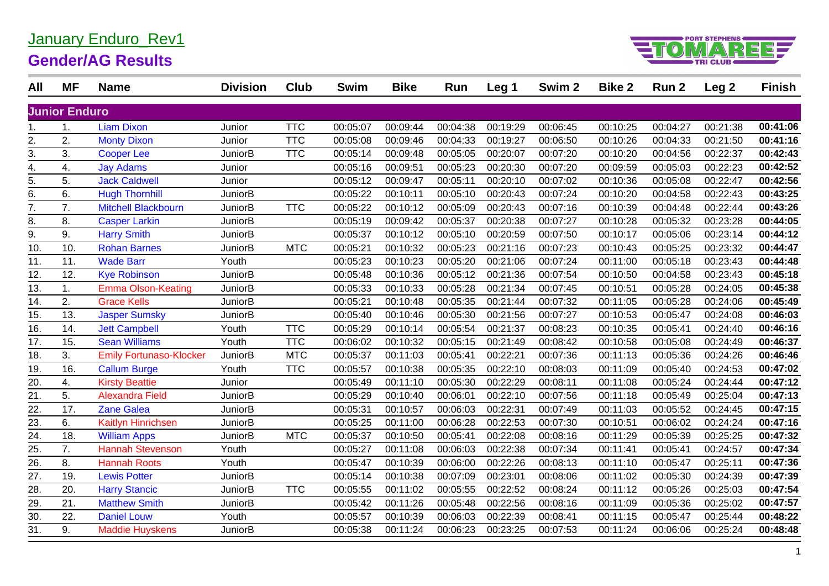### January Enduro\_Rev1

#### **Gender/AG Results**



| All               | <b>MF</b>            | <b>Name</b>                    | <b>Division</b> | Club       | <b>Swim</b> | <b>Bike</b> | Run      | Leg 1    | Swim <sub>2</sub> | <b>Bike 2</b> | Run 2    | Leg <sub>2</sub> | <b>Finish</b> |
|-------------------|----------------------|--------------------------------|-----------------|------------|-------------|-------------|----------|----------|-------------------|---------------|----------|------------------|---------------|
|                   | <b>Junior Enduro</b> |                                |                 |            |             |             |          |          |                   |               |          |                  |               |
| 1.                | $\mathbf{1}$ .       | <b>Liam Dixon</b>              | Junior          | <b>TTC</b> | 00:05:07    | 00:09:44    | 00:04:38 | 00:19:29 | 00:06:45          | 00:10:25      | 00:04:27 | 00:21:38         | 00:41:06      |
| 2.                | 2.                   | <b>Monty Dixon</b>             | Junior          | <b>TTC</b> | 00:05:08    | 00:09:46    | 00:04:33 | 00:19:27 | 00:06:50          | 00:10:26      | 00:04:33 | 00:21:50         | 00:41:16      |
| 3.                | 3.                   | <b>Cooper Lee</b>              | JuniorB         | <b>TTC</b> | 00:05:14    | 00:09:48    | 00:05:05 | 00:20:07 | 00:07:20          | 00:10:20      | 00:04:56 | 00:22:37         | 00:42:43      |
| $\overline{4}$ .  | 4.                   | <b>Jay Adams</b>               | Junior          |            | 00:05:16    | 00:09:51    | 00:05:23 | 00:20:30 | 00:07:20          | 00:09:59      | 00:05:03 | 00:22:23         | 00:42:52      |
| $\overline{5}$ .  | 5.                   | <b>Jack Caldwell</b>           | Junior          |            | 00:05:12    | 00:09:47    | 00:05:11 | 00:20:10 | 00:07:02          | 00:10:36      | 00:05:08 | 00:22:47         | 00:42:56      |
| 6.                | 6.                   | <b>Hugh Thornhill</b>          | <b>JuniorB</b>  |            | 00:05:22    | 00:10:11    | 00:05:10 | 00:20:43 | 00:07:24          | 00:10:20      | 00:04:58 | 00:22:43         | 00:43:25      |
| 7.                | 7.                   | <b>Mitchell Blackbourn</b>     | <b>JuniorB</b>  | <b>TTC</b> | 00:05:22    | 00:10:12    | 00:05:09 | 00:20:43 | 00:07:16          | 00:10:39      | 00:04:48 | 00:22:44         | 00:43:26      |
| 8.                | 8.                   | <b>Casper Larkin</b>           | <b>JuniorB</b>  |            | 00:05:19    | 00:09:42    | 00:05:37 | 00:20:38 | 00:07:27          | 00:10:28      | 00:05:32 | 00:23:28         | 00:44:05      |
| $\overline{9}$ .  | 9.                   | <b>Harry Smith</b>             | JuniorB         |            | 00:05:37    | 00:10:12    | 00:05:10 | 00:20:59 | 00:07:50          | 00:10:17      | 00:05:06 | 00:23:14         | 00:44:12      |
| 10.               | 10.                  | <b>Rohan Barnes</b>            | <b>JuniorB</b>  | <b>MTC</b> | 00:05:21    | 00:10:32    | 00:05:23 | 00:21:16 | 00:07:23          | 00:10:43      | 00:05:25 | 00:23:32         | 00:44:47      |
| 11.               | 11.                  | <b>Wade Barr</b>               | Youth           |            | 00:05:23    | 00:10:23    | 00:05:20 | 00:21:06 | 00:07:24          | 00:11:00      | 00:05:18 | 00:23:43         | 00:44:48      |
| 12.               | 12.                  | <b>Kye Robinson</b>            | <b>JuniorB</b>  |            | 00:05:48    | 00:10:36    | 00:05:12 | 00:21:36 | 00:07:54          | 00:10:50      | 00:04:58 | 00:23:43         | 00:45:18      |
| 13.               | 1.                   | <b>Emma Olson-Keating</b>      | <b>JuniorB</b>  |            | 00:05:33    | 00:10:33    | 00:05:28 | 00:21:34 | 00:07:45          | 00:10:51      | 00:05:28 | 00:24:05         | 00:45:38      |
| $\overline{14}$ . | 2.                   | <b>Grace Kells</b>             | <b>JuniorB</b>  |            | 00:05:21    | 00:10:48    | 00:05:35 | 00:21:44 | 00:07:32          | 00:11:05      | 00:05:28 | 00:24:06         | 00:45:49      |
| 15.               | 13.                  | <b>Jasper Sumsky</b>           | <b>JuniorB</b>  |            | 00:05:40    | 00:10:46    | 00:05:30 | 00:21:56 | 00:07:27          | 00:10:53      | 00:05:47 | 00:24:08         | 00:46:03      |
| 16.               | 14.                  | <b>Jett Campbell</b>           | Youth           | <b>TTC</b> | 00:05:29    | 00:10:14    | 00:05:54 | 00:21:37 | 00:08:23          | 00:10:35      | 00:05:41 | 00:24:40         | 00:46:16      |
| 17.               | 15.                  | <b>Sean Williams</b>           | Youth           | <b>TTC</b> | 00:06:02    | 00:10:32    | 00:05:15 | 00:21:49 | 00:08:42          | 00:10:58      | 00:05:08 | 00:24:49         | 00:46:37      |
| 18.               | 3.                   | <b>Emily Fortunaso-Klocker</b> | JuniorB         | <b>MTC</b> | 00:05:37    | 00:11:03    | 00:05:41 | 00:22:21 | 00:07:36          | 00:11:13      | 00:05:36 | 00:24:26         | 00:46:46      |
| $\overline{19.}$  | 16.                  | <b>Callum Burge</b>            | Youth           | <b>TTC</b> | 00:05:57    | 00:10:38    | 00:05:35 | 00:22:10 | 00:08:03          | 00:11:09      | 00:05:40 | 00:24:53         | 00:47:02      |
| 20.               | 4.                   | <b>Kirsty Beattie</b>          | Junior          |            | 00:05:49    | 00:11:10    | 00:05:30 | 00:22:29 | 00:08:11          | 00:11:08      | 00:05:24 | 00:24:44         | 00:47:12      |
| 21.               | 5.                   | <b>Alexandra Field</b>         | <b>JuniorB</b>  |            | 00:05:29    | 00:10:40    | 00:06:01 | 00:22:10 | 00:07:56          | 00:11:18      | 00:05:49 | 00:25:04         | 00:47:13      |
| 22.               | 17.                  | <b>Zane Galea</b>              | <b>JuniorB</b>  |            | 00:05:31    | 00:10:57    | 00:06:03 | 00:22:31 | 00:07:49          | 00:11:03      | 00:05:52 | 00:24:45         | 00:47:15      |
| 23.               | 6.                   | Kaitlyn Hinrichsen             | <b>JuniorB</b>  |            | 00:05:25    | 00:11:00    | 00:06:28 | 00:22:53 | 00:07:30          | 00:10:51      | 00:06:02 | 00:24:24         | 00:47:16      |
| $\overline{24}$ . | 18.                  | <b>William Apps</b>            | <b>JuniorB</b>  | <b>MTC</b> | 00:05:37    | 00:10:50    | 00:05:41 | 00:22:08 | 00:08:16          | 00:11:29      | 00:05:39 | 00:25:25         | 00:47:32      |
| 25.               | 7.                   | <b>Hannah Stevenson</b>        | Youth           |            | 00:05:27    | 00:11:08    | 00:06:03 | 00:22:38 | 00:07:34          | 00:11:41      | 00:05:41 | 00:24:57         | 00:47:34      |
| 26.               | 8.                   | <b>Hannah Roots</b>            | Youth           |            | 00:05:47    | 00:10:39    | 00:06:00 | 00:22:26 | 00:08:13          | 00:11:10      | 00:05:47 | 00:25:11         | 00:47:36      |
| 27.               | 19.                  | <b>Lewis Potter</b>            | <b>JuniorB</b>  |            | 00:05:14    | 00:10:38    | 00:07:09 | 00:23:01 | 00:08:06          | 00:11:02      | 00:05:30 | 00:24:39         | 00:47:39      |
| 28.               | 20.                  | <b>Harry Stancic</b>           | JuniorB         | <b>TTC</b> | 00:05:55    | 00:11:02    | 00:05:55 | 00:22:52 | 00:08:24          | 00:11:12      | 00:05:26 | 00:25:03         | 00:47:54      |
| 29.               | 21.                  | <b>Matthew Smith</b>           | JuniorB         |            | 00:05:42    | 00:11:26    | 00:05:48 | 00:22:56 | 00:08:16          | 00:11:09      | 00:05:36 | 00:25:02         | 00:47:57      |
| 30.               | 22.                  | <b>Daniel Louw</b>             | Youth           |            | 00:05:57    | 00:10:39    | 00:06:03 | 00:22:39 | 00:08:41          | 00:11:15      | 00:05:47 | 00:25:44         | 00:48:22      |
| 31.               | 9.                   | <b>Maddie Huyskens</b>         | <b>JuniorB</b>  |            | 00:05:38    | 00:11:24    | 00:06:23 | 00:23:25 | 00:07:53          | 00:11:24      | 00:06:06 | 00:25:24         | 00:48:48      |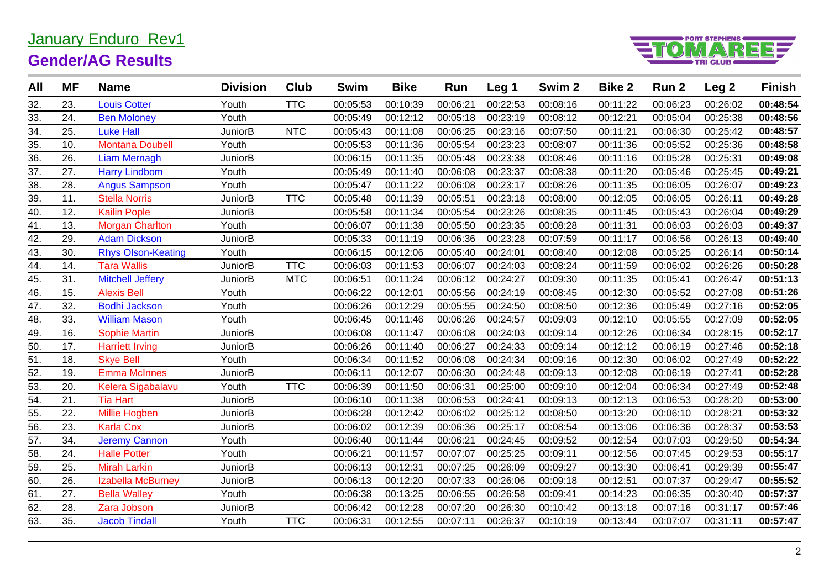# January Enduro\_Rev1



## **Gender/AG Results**

| All | <b>MF</b> | <b>Name</b>               | <b>Division</b> | Club       | <b>Swim</b> | <b>Bike</b> | Run      | Leg 1    | Swim <sub>2</sub> | <b>Bike 2</b> | Run 2    | Leg <sub>2</sub> | <b>Finish</b> |
|-----|-----------|---------------------------|-----------------|------------|-------------|-------------|----------|----------|-------------------|---------------|----------|------------------|---------------|
| 32. | 23.       | <b>Louis Cotter</b>       | Youth           | <b>TTC</b> | 00:05:53    | 00:10:39    | 00:06:21 | 00:22:53 | 00:08:16          | 00:11:22      | 00:06:23 | 00:26:02         | 00:48:54      |
| 33. | 24.       | <b>Ben Moloney</b>        | Youth           |            | 00:05:49    | 00:12:12    | 00:05:18 | 00:23:19 | 00:08:12          | 00:12:21      | 00:05:04 | 00:25:38         | 00:48:56      |
| 34. | 25.       | <b>Luke Hall</b>          | <b>JuniorB</b>  | <b>NTC</b> | 00:05:43    | 00:11:08    | 00:06:25 | 00:23:16 | 00:07:50          | 00:11:21      | 00:06:30 | 00:25:42         | 00:48:57      |
| 35. | 10.       | <b>Montana Doubell</b>    | Youth           |            | 00:05:53    | 00:11:36    | 00:05:54 | 00:23:23 | 00:08:07          | 00:11:36      | 00:05:52 | 00:25:36         | 00:48:58      |
| 36. | 26.       | <b>Liam Mernagh</b>       | <b>JuniorB</b>  |            | 00:06:15    | 00:11:35    | 00:05:48 | 00:23:38 | 00:08:46          | 00:11:16      | 00:05:28 | 00:25:31         | 00:49:08      |
| 37. | 27.       | <b>Harry Lindbom</b>      | Youth           |            | 00:05:49    | 00:11:40    | 00:06:08 | 00:23:37 | 00:08:38          | 00:11:20      | 00:05:46 | 00:25:45         | 00:49:21      |
| 38. | 28.       | <b>Angus Sampson</b>      | Youth           |            | 00:05:47    | 00:11:22    | 00:06:08 | 00:23:17 | 00:08:26          | 00:11:35      | 00:06:05 | 00:26:07         | 00:49:23      |
| 39. | 11.       | <b>Stella Norris</b>      | <b>JuniorB</b>  | <b>TTC</b> | 00:05:48    | 00:11:39    | 00:05:51 | 00:23:18 | 00:08:00          | 00:12:05      | 00:06:05 | 00:26:11         | 00:49:28      |
| 40. | 12.       | <b>Kailin Pople</b>       | <b>JuniorB</b>  |            | 00:05:58    | 00:11:34    | 00:05:54 | 00:23:26 | 00:08:35          | 00:11:45      | 00:05:43 | 00:26:04         | 00:49:29      |
| 41. | 13.       | <b>Morgan Charlton</b>    | Youth           |            | 00:06:07    | 00:11:38    | 00:05:50 | 00:23:35 | 00:08:28          | 00:11:31      | 00:06:03 | 00:26:03         | 00:49:37      |
| 42. | 29.       | <b>Adam Dickson</b>       | <b>JuniorB</b>  |            | 00:05:33    | 00:11:19    | 00:06:36 | 00:23:28 | 00:07:59          | 00:11:17      | 00:06:56 | 00:26:13         | 00:49:40      |
| 43. | 30.       | <b>Rhys Olson-Keating</b> | Youth           |            | 00:06:15    | 00:12:06    | 00:05:40 | 00:24:01 | 00:08:40          | 00:12:08      | 00:05:25 | 00:26:14         | 00:50:14      |
| 44. | 14.       | <b>Tara Wallis</b>        | <b>JuniorB</b>  | <b>TTC</b> | 00:06:03    | 00:11:53    | 00:06:07 | 00:24:03 | 00:08:24          | 00:11:59      | 00:06:02 | 00:26:26         | 00:50:28      |
| 45. | 31.       | <b>Mitchell Jeffery</b>   | <b>JuniorB</b>  | <b>MTC</b> | 00:06:51    | 00:11:24    | 00:06:12 | 00:24:27 | 00:09:30          | 00:11:35      | 00:05:41 | 00:26:47         | 00:51:13      |
| 46. | 15.       | <b>Alexis Bell</b>        | Youth           |            | 00:06:22    | 00:12:01    | 00:05:56 | 00:24:19 | 00:08:45          | 00:12:30      | 00:05:52 | 00:27:08         | 00:51:26      |
| 47. | 32.       | <b>Bodhi Jackson</b>      | Youth           |            | 00:06:26    | 00:12:29    | 00:05:55 | 00:24:50 | 00:08:50          | 00:12:36      | 00:05:49 | 00:27:16         | 00:52:05      |
| 48. | 33.       | <b>William Mason</b>      | Youth           |            | 00:06:45    | 00:11:46    | 00:06:26 | 00:24:57 | 00:09:03          | 00:12:10      | 00:05:55 | 00:27:09         | 00:52:05      |
| 49. | 16.       | <b>Sophie Martin</b>      | <b>JuniorB</b>  |            | 00:06:08    | 00:11:47    | 00:06:08 | 00:24:03 | 00:09:14          | 00:12:26      | 00:06:34 | 00:28:15         | 00:52:17      |
| 50. | 17.       | <b>Harriett Irving</b>    | <b>JuniorB</b>  |            | 00:06:26    | 00:11:40    | 00:06:27 | 00:24:33 | 00:09:14          | 00:12:12      | 00:06:19 | 00:27:46         | 00:52:18      |
| 51. | 18.       | <b>Skye Bell</b>          | Youth           |            | 00:06:34    | 00:11:52    | 00:06:08 | 00:24:34 | 00:09:16          | 00:12:30      | 00:06:02 | 00:27:49         | 00:52:22      |
| 52. | 19.       | <b>Emma McInnes</b>       | <b>JuniorB</b>  |            | 00:06:11    | 00:12:07    | 00:06:30 | 00:24:48 | 00:09:13          | 00:12:08      | 00:06:19 | 00:27:41         | 00:52:28      |
| 53. | 20.       | Kelera Sigabalavu         | Youth           | <b>TTC</b> | 00:06:39    | 00:11:50    | 00:06:31 | 00:25:00 | 00:09:10          | 00:12:04      | 00:06:34 | 00:27:49         | 00:52:48      |
| 54. | 21.       | <b>Tia Hart</b>           | JuniorB         |            | 00:06:10    | 00:11:38    | 00:06:53 | 00:24:41 | 00:09:13          | 00:12:13      | 00:06:53 | 00:28:20         | 00:53:00      |
| 55. | 22.       | Millie Hogben             | JuniorB         |            | 00:06:28    | 00:12:42    | 00:06:02 | 00:25:12 | 00:08:50          | 00:13:20      | 00:06:10 | 00:28:21         | 00:53:32      |
| 56. | 23.       | <b>Karla Cox</b>          | <b>JuniorB</b>  |            | 00:06:02    | 00:12:39    | 00:06:36 | 00:25:17 | 00:08:54          | 00:13:06      | 00:06:36 | 00:28:37         | 00:53:53      |
| 57. | 34.       | <b>Jeremy Cannon</b>      | Youth           |            | 00:06:40    | 00:11:44    | 00:06:21 | 00:24:45 | 00:09:52          | 00:12:54      | 00:07:03 | 00:29:50         | 00:54:34      |
| 58. | 24.       | <b>Halle Potter</b>       | Youth           |            | 00:06:21    | 00:11:57    | 00:07:07 | 00:25:25 | 00:09:11          | 00:12:56      | 00:07:45 | 00:29:53         | 00:55:17      |
| 59. | 25.       | <b>Mirah Larkin</b>       | JuniorB         |            | 00:06:13    | 00:12:31    | 00:07:25 | 00:26:09 | 00:09:27          | 00:13:30      | 00:06:41 | 00:29:39         | 00:55:47      |
| 60. | 26.       | Izabella McBurney         | <b>JuniorB</b>  |            | 00:06:13    | 00:12:20    | 00:07:33 | 00:26:06 | 00:09:18          | 00:12:51      | 00:07:37 | 00:29:47         | 00:55:52      |
| 61. | 27.       | <b>Bella Walley</b>       | Youth           |            | 00:06:38    | 00:13:25    | 00:06:55 | 00:26:58 | 00:09:41          | 00:14:23      | 00:06:35 | 00:30:40         | 00:57:37      |
| 62. | 28.       | Zara Jobson               | JuniorB         |            | 00:06:42    | 00:12:28    | 00:07:20 | 00:26:30 | 00:10:42          | 00:13:18      | 00:07:16 | 00:31:17         | 00:57:46      |
| 63. | 35.       | <b>Jacob Tindall</b>      | Youth           | <b>TTC</b> | 00:06:31    | 00:12:55    | 00:07:11 | 00:26:37 | 00:10:19          | 00:13:44      | 00:07:07 | 00:31:11         | 00:57:47      |
|     |           |                           |                 |            |             |             |          |          |                   |               |          |                  |               |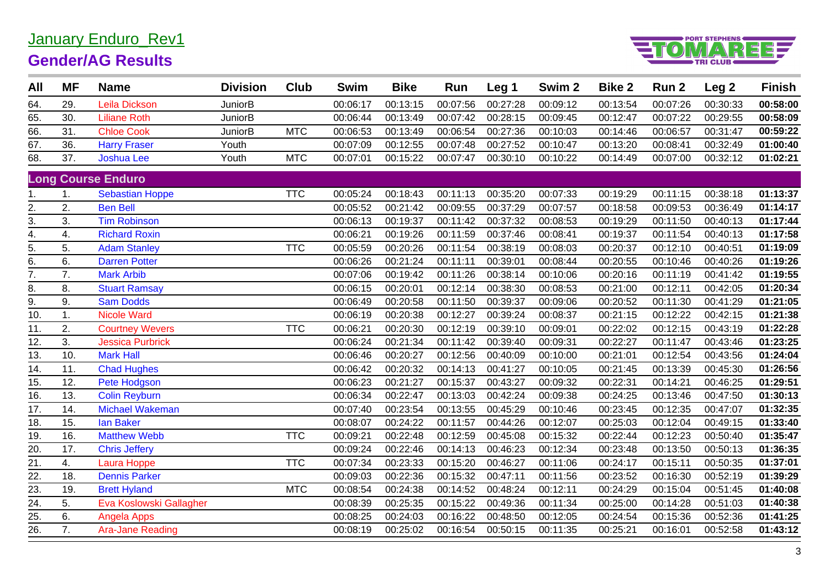## January Enduro\_Rev1



### **Gender/AG Results**

| All               | <b>MF</b> | <b>Name</b>               | <b>Division</b> | <b>Club</b> | <b>Swim</b> | <b>Bike</b> | Run      | Leg 1    | Swim <sub>2</sub> | <b>Bike 2</b> | Run 2    | Leg <sub>2</sub> | <b>Finish</b> |
|-------------------|-----------|---------------------------|-----------------|-------------|-------------|-------------|----------|----------|-------------------|---------------|----------|------------------|---------------|
| 64.               | 29.       | Leila Dickson             | <b>JuniorB</b>  |             | 00:06:17    | 00:13:15    | 00:07:56 | 00:27:28 | 00:09:12          | 00:13:54      | 00:07:26 | 00:30:33         | 00:58:00      |
| 65.               | 30.       | <b>Liliane Roth</b>       | <b>JuniorB</b>  |             | 00:06:44    | 00:13:49    | 00:07:42 | 00:28:15 | 00:09:45          | 00:12:47      | 00:07:22 | 00:29:55         | 00:58:09      |
| 66.               | 31.       | <b>Chloe Cook</b>         | <b>JuniorB</b>  | <b>MTC</b>  | 00:06:53    | 00:13:49    | 00:06:54 | 00:27:36 | 00:10:03          | 00:14:46      | 00:06:57 | 00:31:47         | 00:59:22      |
| 67.               | 36.       | <b>Harry Fraser</b>       | Youth           |             | 00:07:09    | 00:12:55    | 00:07:48 | 00:27:52 | 00:10:47          | 00:13:20      | 00:08:41 | 00:32:49         | 01:00:40      |
| 68.               | 37.       | <b>Joshua Lee</b>         | Youth           | <b>MTC</b>  | 00:07:01    | 00:15:22    | 00:07:47 | 00:30:10 | 00:10:22          | 00:14:49      | 00:07:00 | 00:32:12         | 01:02:21      |
|                   |           | <b>Long Course Enduro</b> |                 |             |             |             |          |          |                   |               |          |                  |               |
| 1.                | 1.        | <b>Sebastian Hoppe</b>    |                 | <b>TTC</b>  | 00:05:24    | 00:18:43    | 00:11:13 | 00:35:20 | 00:07:33          | 00:19:29      | 00:11:15 | 00:38:18         | 01:13:37      |
| 2.                | 2.        | <b>Ben Bell</b>           |                 |             | 00:05:52    | 00:21:42    | 00:09:55 | 00:37:29 | 00:07:57          | 00:18:58      | 00:09:53 | 00:36:49         | 01:14:17      |
| 3.                | 3.        | <b>Tim Robinson</b>       |                 |             | 00:06:13    | 00:19:37    | 00:11:42 | 00:37:32 | 00:08:53          | 00:19:29      | 00:11:50 | 00:40:13         | 01:17:44      |
| $\overline{4}$ .  | 4.        | <b>Richard Roxin</b>      |                 |             | 00:06:21    | 00:19:26    | 00:11:59 | 00:37:46 | 00:08:41          | 00:19:37      | 00:11:54 | 00:40:13         | 01:17:58      |
|                   | 5.        | <b>Adam Stanley</b>       |                 | <b>TTC</b>  | 00:05:59    | 00:20:26    | 00:11:54 | 00:38:19 | 00:08:03          | 00:20:37      | 00:12:10 | 00:40:51         | 01:19:09      |
| $rac{5}{6}$       | 6.        | <b>Darren Potter</b>      |                 |             | 00:06:26    | 00:21:24    | 00:11:11 | 00:39:01 | 00:08:44          | 00:20:55      | 00:10:46 | 00:40:26         | 01:19:26      |
| $\overline{7}$ .  | 7.        | <b>Mark Arbib</b>         |                 |             | 00:07:06    | 00:19:42    | 00:11:26 | 00:38:14 | 00:10:06          | 00:20:16      | 00:11:19 | 00:41:42         | 01:19:55      |
| 8.                | 8.        | <b>Stuart Ramsay</b>      |                 |             | 00:06:15    | 00:20:01    | 00:12:14 | 00:38:30 | 00:08:53          | 00:21:00      | 00:12:11 | 00:42:05         | 01:20:34      |
| 9.                | 9.        | <b>Sam Dodds</b>          |                 |             | 00:06:49    | 00:20:58    | 00:11:50 | 00:39:37 | 00:09:06          | 00:20:52      | 00:11:30 | 00:41:29         | 01:21:05      |
| 10.               | 1.        | <b>Nicole Ward</b>        |                 |             | 00:06:19    | 00:20:38    | 00:12:27 | 00:39:24 | 00:08:37          | 00:21:15      | 00:12:22 | 00:42:15         | 01:21:38      |
| 11.               | 2.        | <b>Courtney Wevers</b>    |                 | <b>TTC</b>  | 00:06:21    | 00:20:30    | 00:12:19 | 00:39:10 | 00:09:01          | 00:22:02      | 00:12:15 | 00:43:19         | 01:22:28      |
| 12.               | 3.        | <b>Jessica Purbrick</b>   |                 |             | 00:06:24    | 00:21:34    | 00:11:42 | 00:39:40 | 00:09:31          | 00:22:27      | 00:11:47 | 00:43:46         | 01:23:25      |
| 13.               | 10.       | <b>Mark Hall</b>          |                 |             | 00:06:46    | 00:20:27    | 00:12:56 | 00:40:09 | 00:10:00          | 00:21:01      | 00:12:54 | 00:43:56         | 01:24:04      |
| $\overline{14}$ . | 11.       | <b>Chad Hughes</b>        |                 |             | 00:06:42    | 00:20:32    | 00:14:13 | 00:41:27 | 00:10:05          | 00:21:45      | 00:13:39 | 00:45:30         | 01:26:56      |
| 15.               | 12.       | Pete Hodgson              |                 |             | 00:06:23    | 00:21:27    | 00:15:37 | 00:43:27 | 00:09:32          | 00:22:31      | 00:14:21 | 00:46:25         | 01:29:51      |
| 16.               | 13.       | <b>Colin Reyburn</b>      |                 |             | 00:06:34    | 00:22:47    | 00:13:03 | 00:42:24 | 00:09:38          | 00:24:25      | 00:13:46 | 00:47:50         | 01:30:13      |
| 17.               | 14.       | <b>Michael Wakeman</b>    |                 |             | 00:07:40    | 00:23:54    | 00:13:55 | 00:45:29 | 00:10:46          | 00:23:45      | 00:12:35 | 00:47:07         | 01:32:35      |
| 18.               | 15.       | <b>Ian Baker</b>          |                 |             | 00:08:07    | 00:24:22    | 00:11:57 | 00:44:26 | 00:12:07          | 00:25:03      | 00:12:04 | 00:49:15         | 01:33:40      |
| 19.               | 16.       | <b>Matthew Webb</b>       |                 | <b>TTC</b>  | 00:09:21    | 00:22:48    | 00:12:59 | 00:45:08 | 00:15:32          | 00:22:44      | 00:12:23 | 00:50:40         | 01:35:47      |
| 20.               | 17.       | <b>Chris Jeffery</b>      |                 |             | 00:09:24    | 00:22:46    | 00:14:13 | 00:46:23 | 00:12:34          | 00:23:48      | 00:13:50 | 00:50:13         | 01:36:35      |
| $\overline{21}$ . | 4.        | Laura Hoppe               |                 | <b>TTC</b>  | 00:07:34    | 00:23:33    | 00:15:20 | 00:46:27 | 00:11:06          | 00:24:17      | 00:15:11 | 00:50:35         | 01:37:01      |
| 22.               | 18.       | <b>Dennis Parker</b>      |                 |             | 00:09:03    | 00:22:36    | 00:15:32 | 00:47:11 | 00:11:56          | 00:23:52      | 00:16:30 | 00:52:19         | 01:39:29      |
| 23.               | 19.       | <b>Brett Hyland</b>       |                 | <b>MTC</b>  | 00:08:54    | 00:24:38    | 00:14:52 | 00:48:24 | 00:12:11          | 00:24:29      | 00:15:04 | 00:51:45         | 01:40:08      |
| $\overline{24}$ . | 5.        | Eva Koslowski Gallagher   |                 |             | 00:08:39    | 00:25:35    | 00:15:22 | 00:49:36 | 00:11:34          | 00:25:00      | 00:14:28 | 00:51:03         | 01:40:38      |
| 25.               | 6.        | <b>Angela Apps</b>        |                 |             | 00:08:25    | 00:24:03    | 00:16:22 | 00:48:50 | 00:12:05          | 00:24:54      | 00:15:36 | 00:52:36         | 01:41:25      |
| $\overline{26}$   | 7.        | <b>Ara-Jane Reading</b>   |                 |             | 00:08:19    | 00:25:02    | 00:16:54 | 00:50:15 | 00:11:35          | 00:25:21      | 00:16:01 | 00:52:58         | 01:43:12      |
|                   |           |                           |                 |             |             |             |          |          |                   |               |          |                  |               |